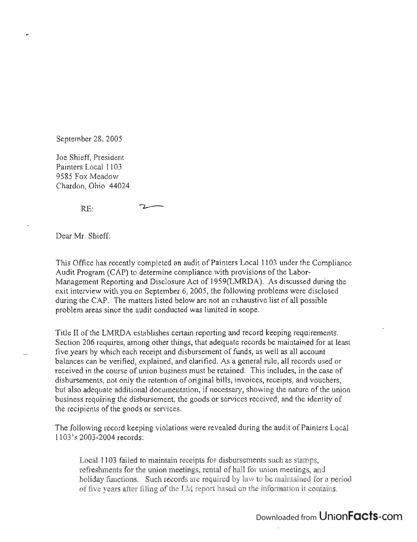September 28, 2005

Joe Shieff, President Painters Local 1103 9585 Fox Meadow Chardon, Ohio 44024

RE:

Dear Mr. Shieff:

This Office has recently completed an audit of Painters Local 1103 under the Compliance Audit Program (CAP) to determine compliance with provisions of the Labor-Management Reporting and Disclosure Act of 1959(LMRDA). As discussed during the exit interview with you on September 6, 2005, the following problems were disclosed during the CAP. The matters listed below are not an exhaustive list of all possible problem areas since the audit conducted was limited in scope.

Title II of the LMRDA establishes certain reporting and record keeping requirements: Section 206 requires, among other things, that adequate records be maintained for at least five years by which each receipt and disbursement of funds, as well as all account balances can be verified, explained, and clarified. As a general rule, all records used or received in the course of union business must be retained. This includes, in the case of disbursements, not only the retention of original bills, invoices, receipts, and vouchers, but also adequate additional documentation, if necessary, showing the nature of the union business requiring the disbursement, the goods or services received, and the identity of the recipients of the goods or services.

The following record keeping violations were revealed during the audit of Painters Local 1103's 2003-2004 records:

Local 1103 failed to maintain receipts for disbursements such as stamps, refreshments for the union meetings, rental of hall for union meetings, and holiday functions. Such records are required by law to be maintained for a period of five years after filing of the LM report based on the information it contains.

## Downloaded from UnionFacts.com